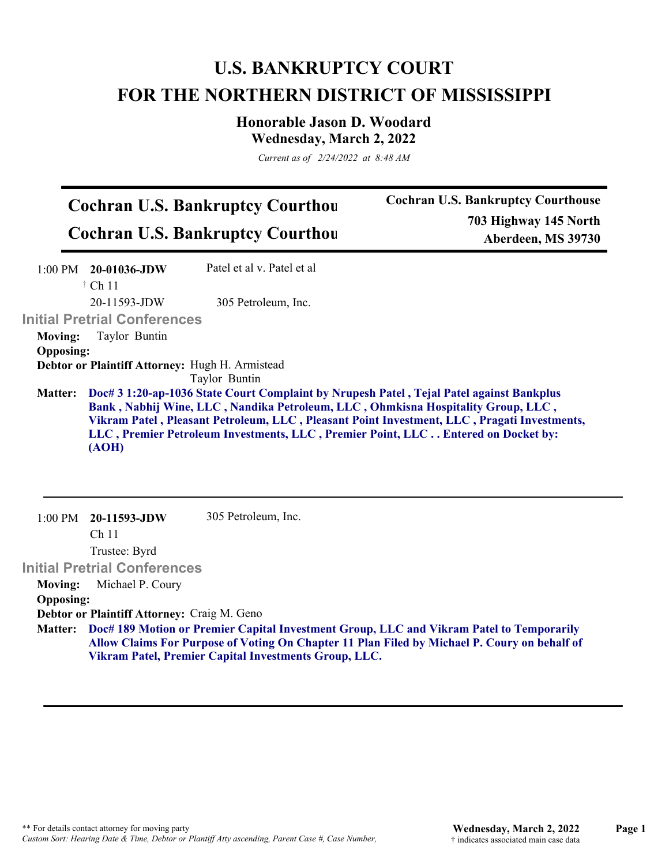## **U.S. BANKRUPTCY COURT FOR THE NORTHERN DISTRICT OF MISSISSIPPI**

**Honorable Jason D. Woodard Wednesday, March 2, 2022**

*Current as of 2/24/2022 at 8:48 AM*

| <b>Cochran U.S. Bankruptcy Courthou</b> | <b>Cochran U.S. Bankruptcy Courthouse</b> |
|-----------------------------------------|-------------------------------------------|
| <b>Cochran U.S. Bankruptcy Courthou</b> | 703 Highway 145 North                     |
|                                         | Aberdeen, MS 39730                        |

|                  | $1:00 \text{ PM}$ 20-01036-JDW                  | Patel et al v. Patel et al                                                                                                                                                                                                                                                                                                                                       |
|------------------|-------------------------------------------------|------------------------------------------------------------------------------------------------------------------------------------------------------------------------------------------------------------------------------------------------------------------------------------------------------------------------------------------------------------------|
|                  | $\dagger$ Ch 11                                 |                                                                                                                                                                                                                                                                                                                                                                  |
|                  | $20-11593$ -JDW                                 | 305 Petroleum, Inc.                                                                                                                                                                                                                                                                                                                                              |
|                  | <b>Initial Pretrial Conferences</b>             |                                                                                                                                                                                                                                                                                                                                                                  |
| <b>Moving:</b>   | Taylor Buntin                                   |                                                                                                                                                                                                                                                                                                                                                                  |
| <b>Opposing:</b> |                                                 |                                                                                                                                                                                                                                                                                                                                                                  |
|                  | Debtor or Plaintiff Attorney: Hugh H. Armistead |                                                                                                                                                                                                                                                                                                                                                                  |
|                  |                                                 | Taylor Buntin                                                                                                                                                                                                                                                                                                                                                    |
| <b>Matter:</b>   | (AOH)                                           | Doc# 3 1:20-ap-1036 State Court Complaint by Nrupesh Patel, Tejal Patel against Bankplus<br>Bank, Nabhij Wine, LLC, Nandika Petroleum, LLC, Ohmkisna Hospitality Group, LLC,<br>Vikram Patel, Pleasant Petroleum, LLC, Pleasant Point Investment, LLC, Pragati Investments,<br>LLC, Premier Petroleum Investments, LLC, Premier Point, LLC Entered on Docket by: |

1:00 PM **20-11593-JDW**  Ch 11 Trustee: Byrd **Initial Pretrial Conferences**  305 Petroleum, Inc. **Moving:** Michael P. Coury **Opposing: Debtor or Plaintiff Attorney:** Craig M. Geno

**Doc# 189 Motion or Premier Capital Investment Group, LLC and Vikram Patel to Temporarily Matter: Allow Claims For Purpose of Voting On Chapter 11 Plan Filed by Michael P. Coury on behalf of Vikram Patel, Premier Capital Investments Group, LLC.**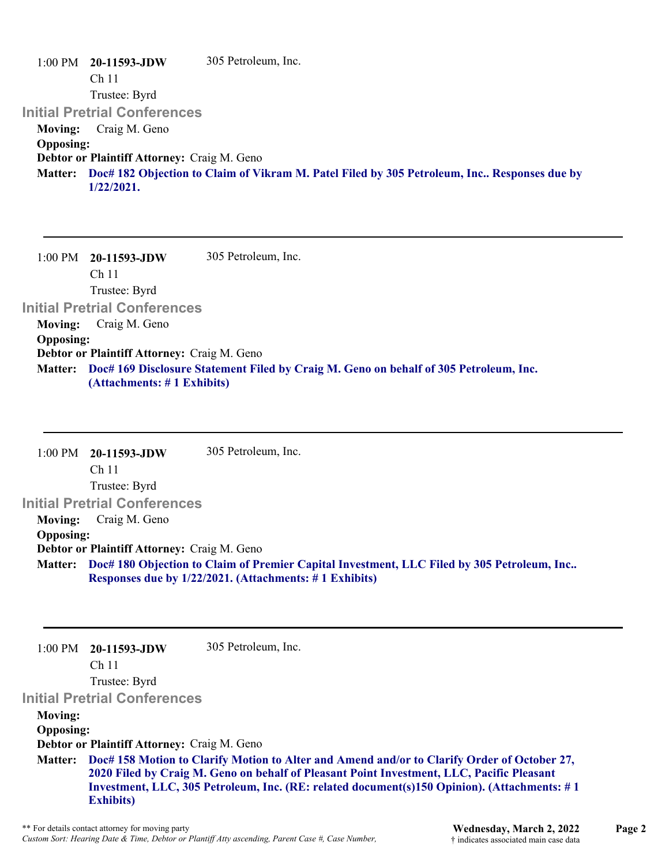1:00 PM **20-11593-JDW**  Ch 11 Trustee: Byrd **Initial Pretrial Conferences**  305 Petroleum, Inc. **Moving:** Craig M. Geno **Opposing: Debtor or Plaintiff Attorney:** Craig M. Geno **Doc# 182 Objection to Claim of Vikram M. Patel Filed by 305 Petroleum, Inc.. Responses due by Matter: 1/22/2021.**

1:00 PM **20-11593-JDW**  Ch 11 Trustee: Byrd **Initial Pretrial Conferences**  305 Petroleum, Inc. **Moving:** Craig M. Geno **Opposing: Debtor or Plaintiff Attorney:** Craig M. Geno **Doc# 169 Disclosure Statement Filed by Craig M. Geno on behalf of 305 Petroleum, Inc. Matter: (Attachments: # 1 Exhibits)**

1:00 PM **20-11593-JDW**  Ch 11 Trustee: Byrd **Initial Pretrial Conferences**  305 Petroleum, Inc. **Moving:** Craig M. Geno **Opposing: Debtor or Plaintiff Attorney:** Craig M. Geno **Doc# 180 Objection to Claim of Premier Capital Investment, LLC Filed by 305 Petroleum, Inc.. Matter: Responses due by 1/22/2021. (Attachments: # 1 Exhibits)**

1:00 PM **20-11593-JDW**  305 Petroleum, Inc.

Ch 11

Trustee: Byrd

**Initial Pretrial Conferences** 

**Moving:**

**Opposing:**

**Debtor or Plaintiff Attorney:** Craig M. Geno

**Doc# 158 Motion to Clarify Motion to Alter and Amend and/or to Clarify Order of October 27, Matter: 2020 Filed by Craig M. Geno on behalf of Pleasant Point Investment, LLC, Pacific Pleasant Investment, LLC, 305 Petroleum, Inc. (RE: related document(s)150 Opinion). (Attachments: # 1 Exhibits)**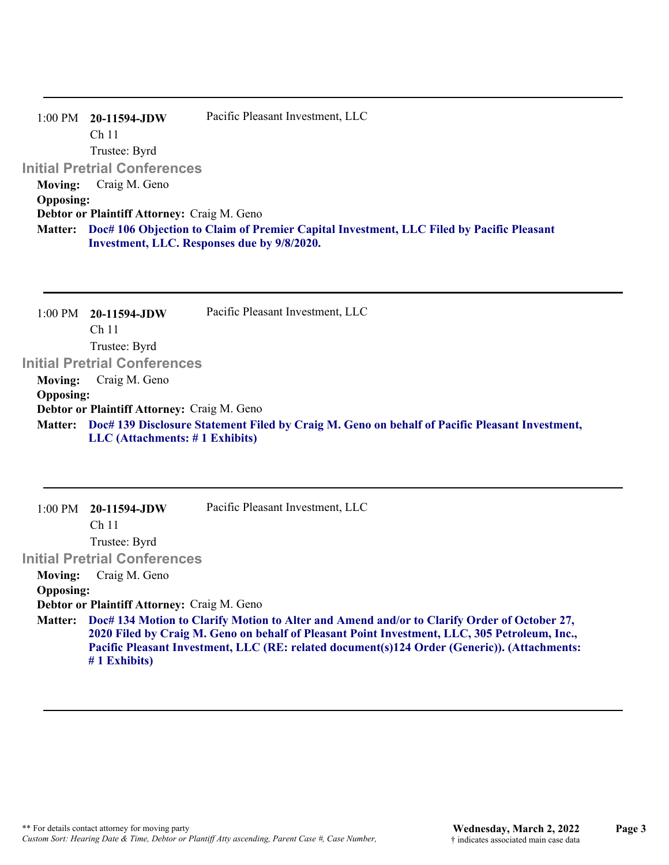|                  | $1:00 \text{ PM}$ 20-11594-JDW                                                                   | Pacific Pleasant Investment, LLC            |  |
|------------------|--------------------------------------------------------------------------------------------------|---------------------------------------------|--|
|                  | Ch <sub>11</sub>                                                                                 |                                             |  |
|                  | Trustee: Byrd                                                                                    |                                             |  |
|                  | <b>Initial Pretrial Conferences</b>                                                              |                                             |  |
| Moving:          | Craig M. Geno                                                                                    |                                             |  |
| <b>Opposing:</b> |                                                                                                  |                                             |  |
|                  | Debtor or Plaintiff Attorney: Craig M. Geno                                                      |                                             |  |
|                  | Matter: Doc# 106 Objection to Claim of Premier Capital Investment, LLC Filed by Pacific Pleasant |                                             |  |
|                  |                                                                                                  | Investment, LLC. Responses due by 9/8/2020. |  |
|                  |                                                                                                  |                                             |  |

| 1:00 PM          | 20-11594-JDW                                | Pacific Pleasant Investment, LLC                                                                       |
|------------------|---------------------------------------------|--------------------------------------------------------------------------------------------------------|
|                  | Ch <sub>11</sub>                            |                                                                                                        |
|                  | Trustee: Byrd                               |                                                                                                        |
|                  | <b>Initial Pretrial Conferences</b>         |                                                                                                        |
| <b>Moving:</b>   | Craig M. Geno                               |                                                                                                        |
| <b>Opposing:</b> |                                             |                                                                                                        |
|                  | Debtor or Plaintiff Attorney: Craig M. Geno |                                                                                                        |
|                  |                                             | Matter: Doc# 139 Disclosure Statement Filed by Craig M. Geno on behalf of Pacific Pleasant Investment, |
|                  | $LLC$ (Attachments: $\# 1$ Exhibits)        |                                                                                                        |

|                  | Pacific Pleasant Investment, LLC                                                                                                                                                                                                                                                             |
|------------------|----------------------------------------------------------------------------------------------------------------------------------------------------------------------------------------------------------------------------------------------------------------------------------------------|
| Ch <sub>11</sub> |                                                                                                                                                                                                                                                                                              |
| Trustee: Byrd    |                                                                                                                                                                                                                                                                                              |
|                  |                                                                                                                                                                                                                                                                                              |
| Craig M. Geno    |                                                                                                                                                                                                                                                                                              |
|                  |                                                                                                                                                                                                                                                                                              |
|                  |                                                                                                                                                                                                                                                                                              |
| $#1$ Exhibits)   | Doc# 134 Motion to Clarify Motion to Alter and Amend and/or to Clarify Order of October 27,<br>2020 Filed by Craig M. Geno on behalf of Pleasant Point Investment, LLC, 305 Petroleum, Inc.,<br>Pacific Pleasant Investment, LLC (RE: related document(s)124 Order (Generic)). (Attachments: |
|                  | $1:00 \text{ PM}$ 20-11594-JDW<br><b>Initial Pretrial Conferences</b><br><b>Opposing:</b><br>Debtor or Plaintiff Attorney: Craig M. Geno                                                                                                                                                     |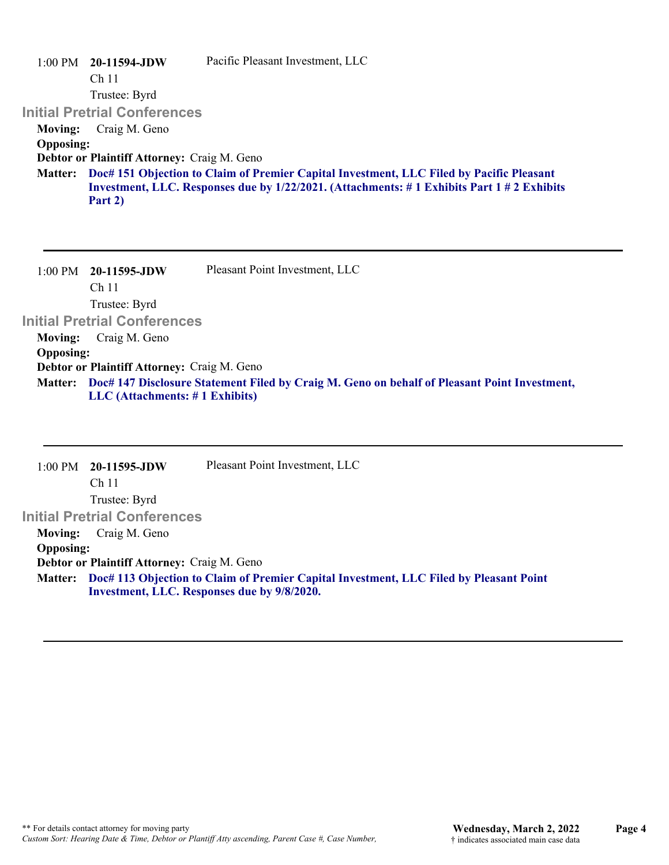| 20-11594-JDW<br>1:00 PM = | Pacific Pleasant Investment, LLC                                                                                                                                                              |
|---------------------------|-----------------------------------------------------------------------------------------------------------------------------------------------------------------------------------------------|
| Ch <sub>11</sub>          |                                                                                                                                                                                               |
| Trustee: Byrd             |                                                                                                                                                                                               |
|                           |                                                                                                                                                                                               |
| Craig M. Geno             |                                                                                                                                                                                               |
| <b>Opposing:</b>          |                                                                                                                                                                                               |
|                           |                                                                                                                                                                                               |
| Part 2)                   | Matter: Doc# 151 Objection to Claim of Premier Capital Investment, LLC Filed by Pacific Pleasant<br>Investment, LLC. Responses due by 1/22/2021. (Attachments: #1 Exhibits Part 1 #2 Exhibits |
|                           | <b>Initial Pretrial Conferences</b><br>Debtor or Plaintiff Attorney: Craig M. Geno                                                                                                            |

|                                             | $1:00 \text{ PM}$ 20-11595-JDW       | Pleasant Point Investment, LLC                                                                       |
|---------------------------------------------|--------------------------------------|------------------------------------------------------------------------------------------------------|
|                                             | Ch <sub>11</sub>                     |                                                                                                      |
|                                             | Trustee: Byrd                        |                                                                                                      |
|                                             | <b>Initial Pretrial Conferences</b>  |                                                                                                      |
| <b>Moving:</b>                              | Craig M. Geno                        |                                                                                                      |
| <b>Opposing:</b>                            |                                      |                                                                                                      |
| Debtor or Plaintiff Attorney: Craig M. Geno |                                      |                                                                                                      |
|                                             |                                      | Matter: Doc# 147 Disclosure Statement Filed by Craig M. Geno on behalf of Pleasant Point Investment, |
|                                             | $LLC$ (Attachments: $\# 1$ Exhibits) |                                                                                                      |

|                  | $1:00 \text{ PM}$ 20-11595-JDW              | Pleasant Point Investment, LLC                                                                                                        |
|------------------|---------------------------------------------|---------------------------------------------------------------------------------------------------------------------------------------|
|                  | Ch <sub>11</sub>                            |                                                                                                                                       |
|                  | Trustee: Byrd                               |                                                                                                                                       |
|                  | <b>Initial Pretrial Conferences</b>         |                                                                                                                                       |
| Moving:          | Craig M. Geno                               |                                                                                                                                       |
| <b>Opposing:</b> |                                             |                                                                                                                                       |
|                  | Debtor or Plaintiff Attorney: Craig M. Geno |                                                                                                                                       |
| <b>Matter:</b>   |                                             | Doc# 113 Objection to Claim of Premier Capital Investment, LLC Filed by Pleasant Point<br>Investment, LLC. Responses due by 9/8/2020. |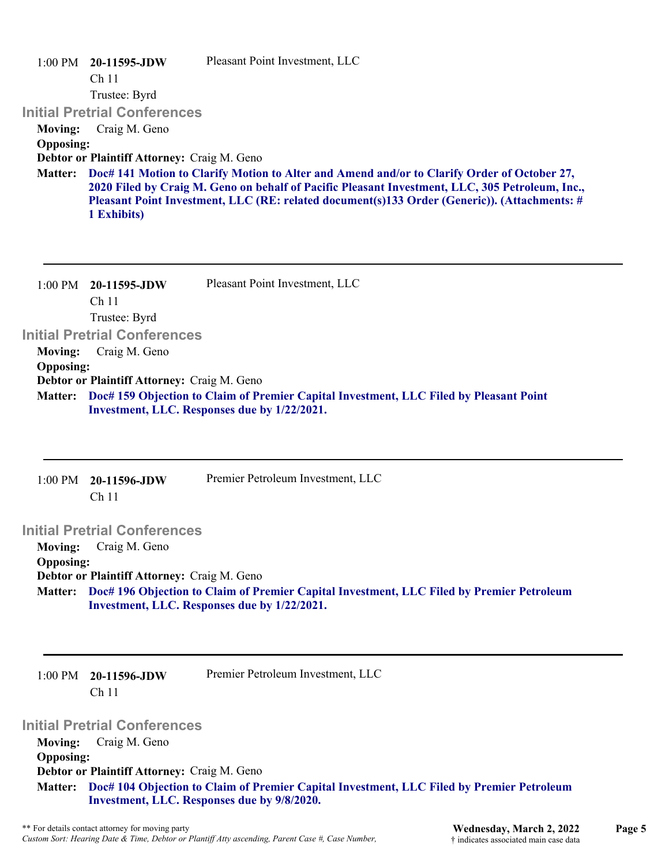|                                    | $1:00 \text{ PM}$ 20-11595-JDW<br>Ch <sub>11</sub><br>Trustee: Byrd<br><b>Initial Pretrial Conferences</b> | Pleasant Point Investment, LLC                                                                                                                                                                                                                                                                 |
|------------------------------------|------------------------------------------------------------------------------------------------------------|------------------------------------------------------------------------------------------------------------------------------------------------------------------------------------------------------------------------------------------------------------------------------------------------|
| <b>Moving:</b><br><b>Opposing:</b> | Craig M. Geno                                                                                              |                                                                                                                                                                                                                                                                                                |
|                                    | Debtor or Plaintiff Attorney: Craig M. Geno                                                                |                                                                                                                                                                                                                                                                                                |
| <b>Matter:</b>                     | 1 Exhibits)                                                                                                | Doc# 141 Motion to Clarify Motion to Alter and Amend and/or to Clarify Order of October 27,<br>2020 Filed by Craig M. Geno on behalf of Pacific Pleasant Investment, LLC, 305 Petroleum, Inc.,<br>Pleasant Point Investment, LLC (RE: related document(s)133 Order (Generic)). (Attachments: # |
|                                    | $1:00$ PM $20-11595$ -JDW<br>Ch <sub>11</sub><br>Trustee: Byrd                                             | Pleasant Point Investment, LLC                                                                                                                                                                                                                                                                 |
|                                    | <b>Initial Pretrial Conferences</b>                                                                        |                                                                                                                                                                                                                                                                                                |
| <b>Moving:</b><br><b>Opposing:</b> | Craig M. Geno                                                                                              |                                                                                                                                                                                                                                                                                                |
|                                    | Debtor or Plaintiff Attorney: Craig M. Geno                                                                |                                                                                                                                                                                                                                                                                                |
| <b>Matter:</b>                     |                                                                                                            | Doc# 159 Objection to Claim of Premier Capital Investment, LLC Filed by Pleasant Point<br>Investment, LLC. Responses due by 1/22/2021.                                                                                                                                                         |
|                                    | 1:00 PM 20-11596-JDW                                                                                       | Premier Petroleum Investment, LLC                                                                                                                                                                                                                                                              |

## Ch 11

**Initial Pretrial Conferences Moving:** Craig M. Geno

**Opposing:**

**Debtor or Plaintiff Attorney:** Craig M. Geno **Doc# 196 Objection to Claim of Premier Capital Investment, LLC Filed by Premier Petroleum Matter: Investment, LLC. Responses due by 1/22/2021.**

1:00 PM **20-11596-JDW**  Ch 11

Premier Petroleum Investment, LLC

## **Initial Pretrial Conferences**

**Moving:** Craig M. Geno **Opposing: Debtor or Plaintiff Attorney:** Craig M. Geno **Doc# 104 Objection to Claim of Premier Capital Investment, LLC Filed by Premier Petroleum Matter: Investment, LLC. Responses due by 9/8/2020.**